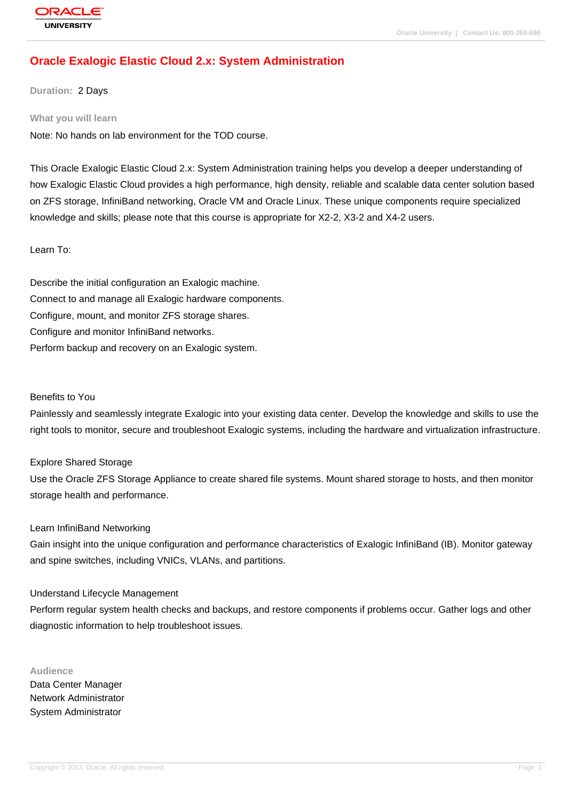# **[Oracle Exalogi](http://education.oracle.com/pls/web_prod-plq-dad/db_pages.getpage?page_id=3)c Elastic Cloud 2.x: System Administration**

**Duration:** 2 Days

#### **What you will learn**

Note: No hands on lab environment for the TOD course.

This Oracle Exalogic Elastic Cloud 2.x: System Administration training helps you develop a deeper understanding of how Exalogic Elastic Cloud provides a high performance, high density, reliable and scalable data center solution based on ZFS storage, InfiniBand networking, Oracle VM and Oracle Linux. These unique components require specialized knowledge and skills; please note that this course is appropriate for X2-2, X3-2 and X4-2 users.

### Learn To:

Describe the initial configuration an Exalogic machine. Connect to and manage all Exalogic hardware components. Configure, mount, and monitor ZFS storage shares. Configure and monitor InfiniBand networks. Perform backup and recovery on an Exalogic system.

#### Benefits to You

Painlessly and seamlessly integrate Exalogic into your existing data center. Develop the knowledge and skills to use the right tools to monitor, secure and troubleshoot Exalogic systems, including the hardware and virtualization infrastructure.

### Explore Shared Storage

Use the Oracle ZFS Storage Appliance to create shared file systems. Mount shared storage to hosts, and then monitor storage health and performance.

### Learn InfiniBand Networking

Gain insight into the unique configuration and performance characteristics of Exalogic InfiniBand (IB). Monitor gateway and spine switches, including VNICs, VLANs, and partitions.

### Understand Lifecycle Management

Perform regular system health checks and backups, and restore components if problems occur. Gather logs and other diagnostic information to help troubleshoot issues.

#### **Audience**

Data Center Manager Network Administrator System Administrator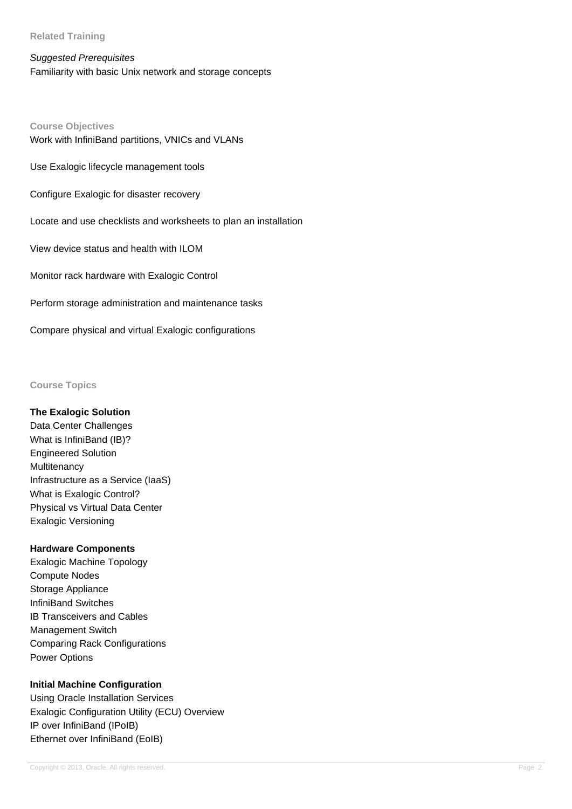## **Related Training**

## Suggested Prerequisites

Familiarity with basic Unix network and storage concepts

**Course Objectives** Work with InfiniBand partitions, VNICs and VLANs Use Exalogic lifecycle management tools

Configure Exalogic for disaster recovery

Locate and use checklists and worksheets to plan an installation

View device status and health with ILOM

Monitor rack hardware with Exalogic Control

Perform storage administration and maintenance tasks

Compare physical and virtual Exalogic configurations

**Course Topics**

### **The Exalogic Solution**

Data Center Challenges What is InfiniBand (IB)? Engineered Solution **Multitenancy** Infrastructure as a Service (IaaS) What is Exalogic Control? Physical vs Virtual Data Center Exalogic Versioning

### **Hardware Components**

Exalogic Machine Topology Compute Nodes Storage Appliance InfiniBand Switches IB Transceivers and Cables Management Switch Comparing Rack Configurations Power Options

### **Initial Machine Configuration**

Using Oracle Installation Services Exalogic Configuration Utility (ECU) Overview IP over InfiniBand (IPoIB) Ethernet over InfiniBand (EoIB)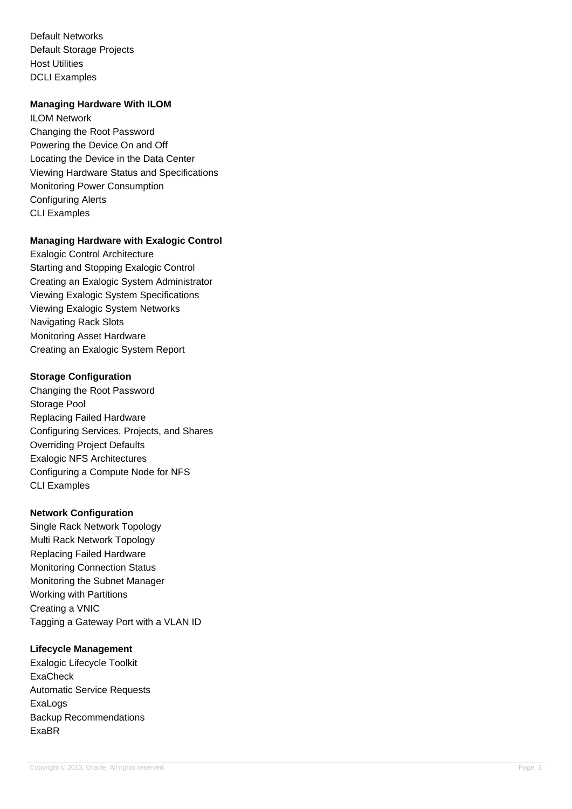Default Networks Default Storage Projects Host Utilities DCLI Examples

### **Managing Hardware With ILOM**

ILOM Network Changing the Root Password Powering the Device On and Off Locating the Device in the Data Center Viewing Hardware Status and Specifications Monitoring Power Consumption Configuring Alerts CLI Examples

## **Managing Hardware with Exalogic Control**

Exalogic Control Architecture Starting and Stopping Exalogic Control Creating an Exalogic System Administrator Viewing Exalogic System Specifications Viewing Exalogic System Networks Navigating Rack Slots Monitoring Asset Hardware Creating an Exalogic System Report

#### **Storage Configuration**

Changing the Root Password Storage Pool Replacing Failed Hardware Configuring Services, Projects, and Shares Overriding Project Defaults Exalogic NFS Architectures Configuring a Compute Node for NFS CLI Examples

#### **Network Configuration**

Single Rack Network Topology Multi Rack Network Topology Replacing Failed Hardware Monitoring Connection Status Monitoring the Subnet Manager Working with Partitions Creating a VNIC Tagging a Gateway Port with a VLAN ID

## **Lifecycle Management**

Exalogic Lifecycle Toolkit **ExaCheck** Automatic Service Requests **ExaLogs** Backup Recommendations ExaBR